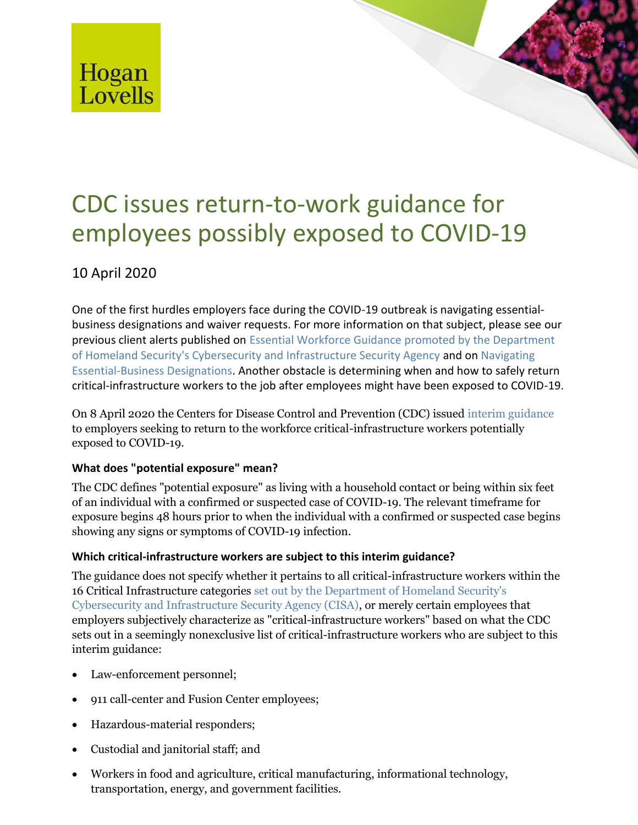

# CDC issues return-to-work guidance for employees possibly exposed to COVID-19

## 10 April 2020

One of the first hurdles employers face during the COVID-19 outbreak is navigating essentialbusiness designations and waiver requests. For more information on that subject, please see our previous client alerts published on [Essential Workforce Guidance promoted by the Department](https://www.hoganlovells.com/en/publications/assessment-of-cisa-memorandum-on-identification-of-essential-critical-infrastructure-workers-during-covid-19-response-guidance-version-20)  [of Homeland Security's Cybersecurity and Infrastructure Security Agency](https://www.hoganlovells.com/en/publications/assessment-of-cisa-memorandum-on-identification-of-essential-critical-infrastructure-workers-during-covid-19-response-guidance-version-20) and on [Navigating](https://www.hoganlovells.com/en/publications/navigating-essential-business-designations)  [Essential-Business Designations.](https://www.hoganlovells.com/en/publications/navigating-essential-business-designations) Another obstacle is determining when and how to safely return critical-infrastructure workers to the job after employees might have been exposed to COVID-19.

On 8 April 2020 the Centers for Disease Control and Prevention (CDC) issued [interim guidance](https://www.cdc.gov/coronavirus/2019-ncov/community/critical-workers/implementing-safety-practices.html) to employers seeking to return to the workforce critical-infrastructure workers potentially exposed to COVID-19.

### **What does "potential exposure" mean?**

The CDC defines "potential exposure" as living with a household contact or being within six feet of an individual with a confirmed or suspected case of COVID-19. The relevant timeframe for exposure begins 48 hours prior to when the individual with a confirmed or suspected case begins showing any signs or symptoms of COVID-19 infection.

## **Which critical-infrastructure workers are subject to this interim guidance?**

The guidance does not specify whether it pertains to all critical-infrastructure workers within the 16 Critical Infrastructure categories [set out by the Department of Homeland Security's](https://www.cisa.gov/sites/default/files/publications/CISA_Guidance_on_the_Essential_Critical_Infrastructure_Workforce_Version_2.0_Updated.pdf)  [Cybersecurity and Infrastructure Security Agency \(CISA\),](https://www.cisa.gov/sites/default/files/publications/CISA_Guidance_on_the_Essential_Critical_Infrastructure_Workforce_Version_2.0_Updated.pdf) or merely certain employees that employers subjectively characterize as "critical-infrastructure workers" based on what the CDC sets out in a seemingly nonexclusive list of critical-infrastructure workers who are subject to this interim guidance:

- Law-enforcement personnel;
- 911 call-center and Fusion Center employees;
- Hazardous-material responders;
- Custodial and janitorial staff; and
- Workers in food and agriculture, critical manufacturing, informational technology, transportation, energy, and government facilities.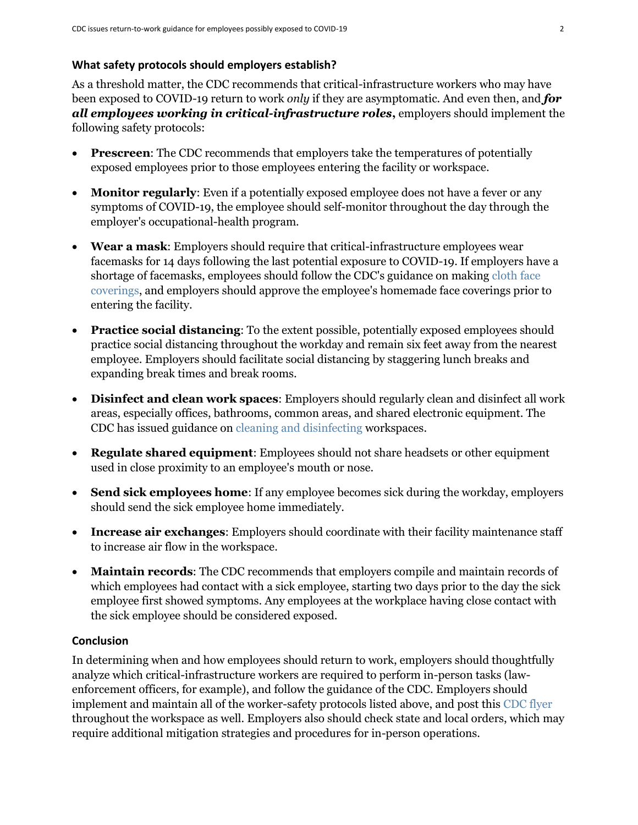#### **What safety protocols should employers establish?**

As a threshold matter, the CDC recommends that critical-infrastructure workers who may have been exposed to COVID-19 return to work *only* if they are asymptomatic. And even then, and *for all employees working in critical-infrastructure roles***,** employers should implement the following safety protocols:

- **Prescreen**: The CDC recommends that employers take the temperatures of potentially exposed employees prior to those employees entering the facility or workspace.
- **Monitor regularly**: Even if a potentially exposed employee does not have a fever or any symptoms of COVID-19, the employee should self-monitor throughout the day through the employer's occupational-health program.
- **Wear a mask**: Employers should require that critical-infrastructure employees wear facemasks for 14 days following the last potential exposure to COVID-19. If employers have a shortage of facemasks, employees should follow the CDC's guidance on making [cloth face](https://www.cdc.gov/coronavirus/2019-ncov/prevent-getting-sick/diy-cloth-face-coverings.html)  [coverings,](https://www.cdc.gov/coronavirus/2019-ncov/prevent-getting-sick/diy-cloth-face-coverings.html) and employers should approve the employee's homemade face coverings prior to entering the facility.
- **Practice social distancing**: To the extent possible, potentially exposed employees should practice social distancing throughout the workday and remain six feet away from the nearest employee. Employers should facilitate social distancing by staggering lunch breaks and expanding break times and break rooms.
- **Disinfect and clean work spaces**: Employers should regularly clean and disinfect all work areas, especially offices, bathrooms, common areas, and shared electronic equipment. The CDC has issued guidance on [cleaning and disinfecting](https://www.cdc.gov/coronavirus/2019-ncov/community/disinfecting-building-facility.html?CDC_AA_refVal=https%3A%2F%2Fwww.cdc.gov%2Fcoronavirus%2F2019-ncov%2Fprepare%2Fdisinfecting-building-facility.html) workspaces.
- **Regulate shared equipment**: Employees should not share headsets or other equipment used in close proximity to an employee's mouth or nose.
- **Send sick employees home**: If any employee becomes sick during the workday, employers should send the sick employee home immediately.
- **Increase air exchanges**: Employers should coordinate with their facility maintenance staff to increase air flow in the workspace.
- **Maintain records**: The CDC recommends that employers compile and maintain records of which employees had contact with a sick employee, starting two days prior to the day the sick employee first showed symptoms. Any employees at the workplace having close contact with the sick employee should be considered exposed.

#### **Conclusion**

In determining when and how employees should return to work, employers should thoughtfully analyze which critical-infrastructure workers are required to perform in-person tasks (lawenforcement officers, for example), and follow the guidance of the CDC. Employers should implement and maintain all of the worker-safety protocols listed above, and post this [CDC flyer](https://www.cdc.gov/coronavirus/2019-ncov/downloads/Essential-Critical-Workers_Dos-and-Donts.pdf) throughout the workspace as well. Employers also should check state and local orders, which may require additional mitigation strategies and procedures for in-person operations.